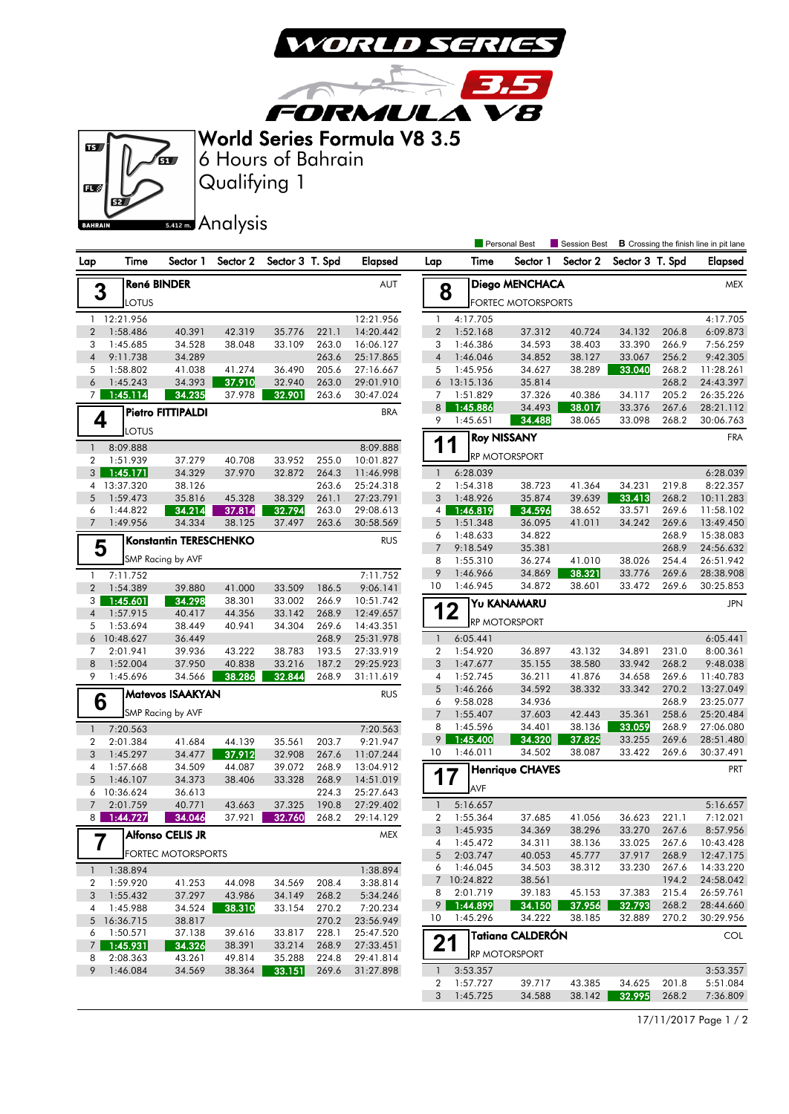

3.5

**FORMULA V8** World Series Formula V8 3.5



Qualifying 1 6 Hours of Bahrain

## **5.412m.** Analysis

|                     |                         |                               |                  |                  |                |                        |                 |                       | Personal Best             | Session Best     |                  |                | <b>B</b> Crossing the finish line in pit lane |
|---------------------|-------------------------|-------------------------------|------------------|------------------|----------------|------------------------|-----------------|-----------------------|---------------------------|------------------|------------------|----------------|-----------------------------------------------|
| Lap                 | Time                    | Sector 1                      | Sector 2         | Sector 3 T. Spd  |                | <b>Elapsed</b>         | Lap             | Time                  | Sector 1                  | Sector 2         | Sector 3 T. Spd  |                | Elapsed                                       |
|                     | <b>René BINDER</b><br>3 |                               |                  |                  |                |                        |                 | Diego MENCHACA        | <b>MEX</b>                |                  |                  |                |                                               |
|                     | LOTUS                   |                               |                  |                  |                |                        | 8               |                       | <b>FORTEC MOTORSPORTS</b> |                  |                  |                |                                               |
| $\mathbf{1}$        | 12:21.956               |                               |                  |                  |                | 12:21.956              | $\mathbf{1}$    | 4:17.705              |                           |                  |                  |                | 4:17.705                                      |
| $\overline{2}$      | 1:58.486                | 40.391                        | 42.319           | 35.776           | 221.1          | 14:20.442              | $\overline{2}$  | 1:52.168              | 37.312                    | 40.724           | 34.132           | 206.8          | 6:09.873                                      |
| 3                   | 1:45.685                | 34.528                        | 38.048           | 33.109           | 263.0          | 16:06.127              | 3               | 1:46.386              | 34.593                    | 38.403           | 33.390           | 266.9          | 7:56.259                                      |
| $\overline{4}$      | 9:11.738                | 34.289                        |                  |                  | 263.6          | 25:17.865              | $\overline{4}$  | 1:46.046              | 34.852                    | 38.127           | 33.067           | 256.2          | 9:42.305                                      |
| 5                   | 1:58.802                | 41.038                        | 41.274           | 36.490           | 205.6          | 27:16.667              | 5               | 1:45.956              | 34.627                    | 38.289           | 33.040           | 268.2          | 11:28.261                                     |
| 6                   | 1:45.243                | 34.393                        | 37.910           | 32.940           | 263.0          | 29:01.910              | 6               | 13:15.136             | 35.814                    |                  |                  | 268.2          | 24:43.397                                     |
| 7 <sup>1</sup>      | 1:45.114                | 34.235                        | 37.978           | 32.901           | 263.6          | 30:47.024              | 7               | 1:51.829              | 37.326                    | 40.386           | 34.117           | 205.2          | 26:35.226                                     |
|                     |                         | Pietro FITTIPALDI             |                  |                  |                | <b>BRA</b>             | 8               | 1:45.886              | 34.493                    | 38.017           | 33.376           | 267.6          | 28:21.112                                     |
| 4                   | LOTUS                   |                               |                  |                  |                |                        | 9               | 1:45.651              | 34.488                    | 38.065           | 33.098           | 268.2          | 30:06.763                                     |
|                     |                         |                               |                  |                  |                |                        | 1               | 1                     | <b>Roy NISSANY</b>        |                  |                  |                | <b>FRA</b>                                    |
| $\mathbf{1}$        | 8:09.888                |                               |                  |                  |                | 8:09.888               |                 |                       | RP MOTORSPORT             |                  |                  |                |                                               |
| $\overline{2}$      | 1:51.939                | 37.279                        | 40.708           | 33.952           | 255.0          | 10:01.827              |                 |                       |                           |                  |                  |                |                                               |
| 3 <sup>1</sup>      | 1:45.171                | 34.329                        | 37.970           | 32.872           | 264.3          | 11:46.998              | $\mathbf{1}$    | 6:28.039              |                           |                  |                  |                | 6:28.039                                      |
| 5                   | 4 13:37.320<br>1:59.473 | 38.126<br>35.816              | 45.328           | 38.329           | 263.6<br>261.1 | 25:24.318<br>27:23.791 | 2<br>3          | 1:54.318<br>1:48.926  | 38.723<br>35.874          | 41.364<br>39.639 | 34.231<br>33.413 | 219.8<br>268.2 | 8:22.357<br>10:11.283                         |
| 6                   | 1:44.822                | 34.214                        | 37.814           | 32.794           | 263.0          | 29:08.613              | 4               | 1:46.819              | 34.596                    | 38.652           | 33.571           | 269.6          | 11:58.102                                     |
| $\overline{7}$      | 1:49.956                | 34.334                        | 38.125           | 37.497           | 263.6          | 30:58.569              | 5               | 1:51.348              | 36.095                    | 41.011           | 34.242           | 269.6          | 13:49.450                                     |
|                     |                         |                               |                  |                  |                |                        | 6               | 1:48.633              | 34.822                    |                  |                  | 268.9          | 15:38.083                                     |
| 5                   |                         | <b>Konstantin TERESCHENKO</b> |                  |                  |                | <b>RUS</b>             | $\overline{7}$  | 9:18.549              | 35.381                    |                  |                  | 268.9          | 24:56.632                                     |
|                     |                         | SMP Racing by AVF             |                  |                  |                |                        | 8               | 1:55.310              | 36.274                    | 41.010           | 38.026           | 254.4          | 26:51.942                                     |
| $\mathbf{1}$        | 7:11.752                |                               |                  |                  |                | 7:11.752               | 9               | 1:46.966              | 34.869                    | 38.321           | 33.776           | 269.6          | 28:38.908                                     |
| $\overline{2}$      | 1:54.389                | 39.880                        | 41.000           | 33.509           | 186.5          | 9:06.141               | 10              | 1:46.945              | 34.872                    | 38.601           | 33.472           | 269.6          | 30:25.853                                     |
| 3                   | 1:45.601                | 34.298                        | 38.301           | 33.002           | 266.9          | 10:51.742              |                 |                       | Yu KANAMARU               |                  |                  |                | <b>JPN</b>                                    |
| $\overline{4}$      | 1:57.915                | 40.417                        | 44.356           | 33.142           | 268.9          | 12:49.657              | 12              |                       |                           |                  |                  |                |                                               |
| 5                   | 1:53.694                | 38.449                        | 40.941           | 34.304           | 269.6          | 14:43.351              |                 |                       | RP MOTORSPORT             |                  |                  |                |                                               |
| 6                   | 10:48.627               | 36.449                        |                  |                  | 268.9          | 25:31.978              | $\mathbf{1}$    | 6:05.441              |                           |                  |                  |                | 6:05.441                                      |
| 7                   | 2:01.941                | 39.936                        | 43.222           | 38.783           | 193.5          | 27:33.919              | $\overline{2}$  | 1:54.920              | 36.897                    | 43.132           | 34.891           | 231.0          | 8:00.361                                      |
| 8                   | 1:52.004                | 37.950                        | 40.838           | 33.216           | 187.2          | 29:25.923              | 3               | 1:47.677              | 35.155                    | 38.580           | 33.942           | 268.2          | 9:48.038                                      |
| 9                   | 1:45.696                | 34.566                        | 38.286           | 32.844           | 268.9          | 31:11.619              | 4               | 1:52.745              | 36.211                    | 41.876           | 34.658           | 269.6          | 11:40.783                                     |
|                     |                         | Matevos ISAAKYAN              |                  |                  |                | <b>RUS</b>             | 5               | 1:46.266              | 34.592                    | 38.332           | 33.342           | 270.2          | 13:27.049                                     |
| 6                   |                         |                               |                  |                  |                |                        | 6               | 9:58.028              | 34.936                    |                  |                  | 268.9          | 23:25.077                                     |
|                     |                         | SMP Racing by AVF             |                  |                  |                |                        | $7\overline{ }$ | 1:55.407              | 37.603                    | 42.443           | 35.361           | 258.6          | 25:20.484                                     |
| $\mathbf{1}$        | 7:20.563                |                               |                  |                  |                | 7:20.563               | 8               | 1:45.596              | 34.401                    | 38.136           | 33.059           | 268.9          | 27:06.080                                     |
| $\overline{2}$      | 2:01.384                | 41.684                        | 44.139           | 35.561           | 203.7          | 9:21.947               | 9               | 1:45.400              | 34.320                    | 37.825           | 33.255           | 269.6          | 28:51.480                                     |
| 3                   | 1:45.297                | 34.477                        | 37.912           | 32.908           | 267.6          | 11:07.244              | 10              | 1:46.011              | 34.502                    | 38.087           | 33.422           | 269.6          | 30:37.491                                     |
| 4                   | 1:57.668                | 34.509                        | 44.087           | 39.072           | 268.9          | 13:04.912              |                 |                       | <b>Henrique CHAVES</b>    |                  |                  |                | PRT                                           |
| 5                   | 1:46.107                | 34.373                        | 38.406           | 33.328           | 268.9          | 14:51.019              | 17              |                       |                           |                  |                  |                |                                               |
| $\boldsymbol{6}$    | 10:36.624               | 36.613                        |                  |                  | 224.3          | 25:27.643              |                 | AVF                   |                           |                  |                  |                |                                               |
| $7\overline{ }$     | 2:01.759                | 40.771                        | 43.663           | 37.325           | 190.8          | 27:29.402              | $\mathbf{1}$    | 5:16.657              |                           |                  |                  |                | 5:16.657                                      |
| 8                   | 1:44.727                | 34.046                        | 37.921           | 32.760           | 268.2          | 29:14.129              | $\overline{2}$  | 1:55.364              | 37.685                    | 41.056           | 36.623           | 221.1          | 7:12.021                                      |
| г                   |                         | Alfonso CELIS JR              |                  |                  |                | MEX                    | 3               | 1:45.935              | 34.369                    | 38.296           | 33.270           | 267.6          | 8:57.956                                      |
| 7                   |                         | <b>FORTEC MOTORSPORTS</b>     |                  |                  |                |                        | 4               | 1:45.472              | 34.311                    | 38.136           | 33.025           | 267.6          | 10:43.428                                     |
|                     |                         |                               |                  |                  |                |                        | 5               | 2:03.747              | 40.053                    | 45.777           | 37.917           | 268.9          | 12:47.175                                     |
| $\mathbf{1}$        | 1:38.894                |                               |                  |                  |                | 1:38.894               | 6               | 1:46.045              | 34.503                    | 38.312           | 33.230           | 267.6          | 14:33.220                                     |
| 2                   | 1:59.920                | 41.253                        | 44.098           | 34.569           | 208.4          | 3:38.814               | $7^{\circ}$     | 10:24.822<br>2:01.719 | 38.561                    |                  | 37.383           | 194.2          | 24:58.042                                     |
| 3                   | 1:55.432                | 37.297                        | 43.986           | 34.149           | 268.2          | 5:34.246               | 8<br>9          | 1:44.899              | 39.183<br>34.150          | 45.153<br>37.956 | 32.793           | 215.4<br>268.2 | 26:59.761<br>28:44.660                        |
| 4                   | 1:45.988                | 34.524                        | 38.310           | 33.154           | 270.2          | 7:20.234               | 10              | 1:45.296              | 34.222                    | 38.185           | 32.889           | 270.2          | 30:29.956                                     |
|                     | 5 16:36.715             | 38.817                        |                  |                  | 270.2          | 23:56.949              |                 |                       |                           |                  |                  |                |                                               |
| 6                   | 1:50.571<br>1:45.931    | 37.138<br>34.326              | 39.616           | 33.817<br>33.214 | 228.1<br>268.9 | 25:47.520              | 21              |                       | <b>Tatiana CALDERÓN</b>   |                  |                  |                | <b>COL</b>                                    |
| 7 <sup>1</sup><br>8 | 2:08.363                | 43.261                        | 38.391<br>49.814 | 35.288           | 224.8          | 27:33.451<br>29:41.814 |                 |                       | RP MOTORSPORT             |                  |                  |                |                                               |
| 9                   | 1:46.084                | 34.569                        | 38.364           | 33.151           | 269.6          | 31:27.898              | 1               | 3:53.357              |                           |                  |                  |                | 3:53.357                                      |
|                     |                         |                               |                  |                  |                |                        | 2               | 1:57.727              | 39.717                    | 43.385           | 34.625           | 201.8          | 5:51.084                                      |
|                     |                         |                               |                  |                  |                |                        | 3               | 1:45.725              | 34.588                    | 38.142           | 32.995           | 268.2          | 7:36.809                                      |
|                     |                         |                               |                  |                  |                |                        |                 |                       |                           |                  |                  |                |                                               |

17/11/2017 Page 1 / 2